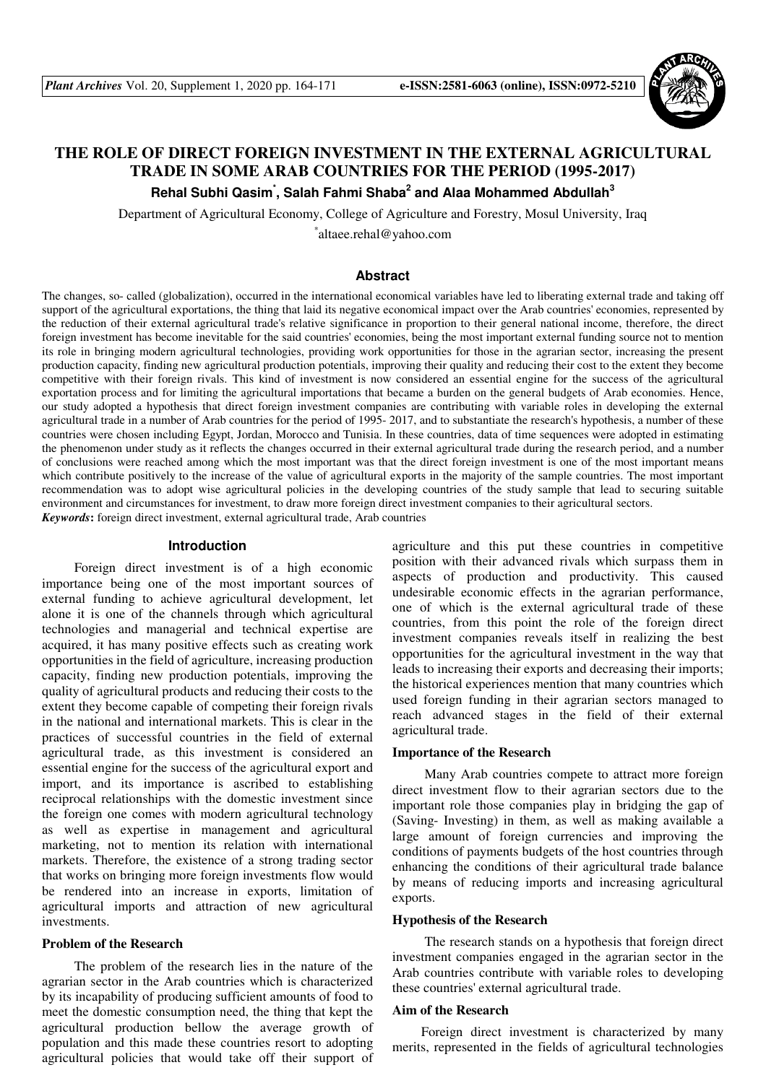

# **THE ROLE OF DIRECT FOREIGN INVESTMENT IN THE EXTERNAL AGRICULTURAL TRADE IN SOME ARAB COUNTRIES FOR THE PERIOD (1995-2017)**

**Rehal Subhi Qasim\* , Salah Fahmi Shaba<sup>2</sup> and Alaa Mohammed Abdullah<sup>3</sup>**

Department of Agricultural Economy, College of Agriculture and Forestry, Mosul University, Iraq

\* altaee.rehal@yahoo.com

### **Abstract**

The changes, so- called (globalization), occurred in the international economical variables have led to liberating external trade and taking off support of the agricultural exportations, the thing that laid its negative economical impact over the Arab countries' economies, represented by the reduction of their external agricultural trade's relative significance in proportion to their general national income, therefore, the direct foreign investment has become inevitable for the said countries' economies, being the most important external funding source not to mention its role in bringing modern agricultural technologies, providing work opportunities for those in the agrarian sector, increasing the present production capacity, finding new agricultural production potentials, improving their quality and reducing their cost to the extent they become competitive with their foreign rivals. This kind of investment is now considered an essential engine for the success of the agricultural exportation process and for limiting the agricultural importations that became a burden on the general budgets of Arab economies. Hence, our study adopted a hypothesis that direct foreign investment companies are contributing with variable roles in developing the external agricultural trade in a number of Arab countries for the period of 1995-2017, and to substantiate the research's hypothesis, a number of these countries were chosen including Egypt, Jordan, Morocco and Tunisia. In these countries, data of time sequences were adopted in estimating the phenomenon under study as it reflects the changes occurred in their external agricultural trade during the research period, and a number of conclusions were reached among which the most important was that the direct foreign investment is one of the most important means which contribute positively to the increase of the value of agricultural exports in the majority of the sample countries. The most important recommendation was to adopt wise agricultural policies in the developing countries of the study sample that lead to securing suitable environment and circumstances for investment, to draw more foreign direct investment companies to their agricultural sectors. *Keywords***:** foreign direct investment, external agricultural trade, Arab countries

# **Introduction**

 Foreign direct investment is of a high economic importance being one of the most important sources of external funding to achieve agricultural development, let alone it is one of the channels through which agricultural technologies and managerial and technical expertise are acquired, it has many positive effects such as creating work opportunities in the field of agriculture, increasing production capacity, finding new production potentials, improving the quality of agricultural products and reducing their costs to the extent they become capable of competing their foreign rivals in the national and international markets. This is clear in the practices of successful countries in the field of external agricultural trade, as this investment is considered an essential engine for the success of the agricultural export and import, and its importance is ascribed to establishing reciprocal relationships with the domestic investment since the foreign one comes with modern agricultural technology as well as expertise in management and agricultural marketing, not to mention its relation with international markets. Therefore, the existence of a strong trading sector that works on bringing more foreign investments flow would be rendered into an increase in exports, limitation of agricultural imports and attraction of new agricultural investments.

#### **Problem of the Research**

 The problem of the research lies in the nature of the agrarian sector in the Arab countries which is characterized by its incapability of producing sufficient amounts of food to meet the domestic consumption need, the thing that kept the agricultural production bellow the average growth of population and this made these countries resort to adopting agricultural policies that would take off their support of agriculture and this put these countries in competitive position with their advanced rivals which surpass them in aspects of production and productivity. This caused undesirable economic effects in the agrarian performance, one of which is the external agricultural trade of these countries, from this point the role of the foreign direct investment companies reveals itself in realizing the best opportunities for the agricultural investment in the way that leads to increasing their exports and decreasing their imports; the historical experiences mention that many countries which used foreign funding in their agrarian sectors managed to reach advanced stages in the field of their external agricultural trade.

#### **Importance of the Research**

 Many Arab countries compete to attract more foreign direct investment flow to their agrarian sectors due to the important role those companies play in bridging the gap of (Saving- Investing) in them, as well as making available a large amount of foreign currencies and improving the conditions of payments budgets of the host countries through enhancing the conditions of their agricultural trade balance by means of reducing imports and increasing agricultural exports.

### **Hypothesis of the Research**

The research stands on a hypothesis that foreign direct investment companies engaged in the agrarian sector in the Arab countries contribute with variable roles to developing these countries' external agricultural trade.

#### **Aim of the Research**

Foreign direct investment is characterized by many merits, represented in the fields of agricultural technologies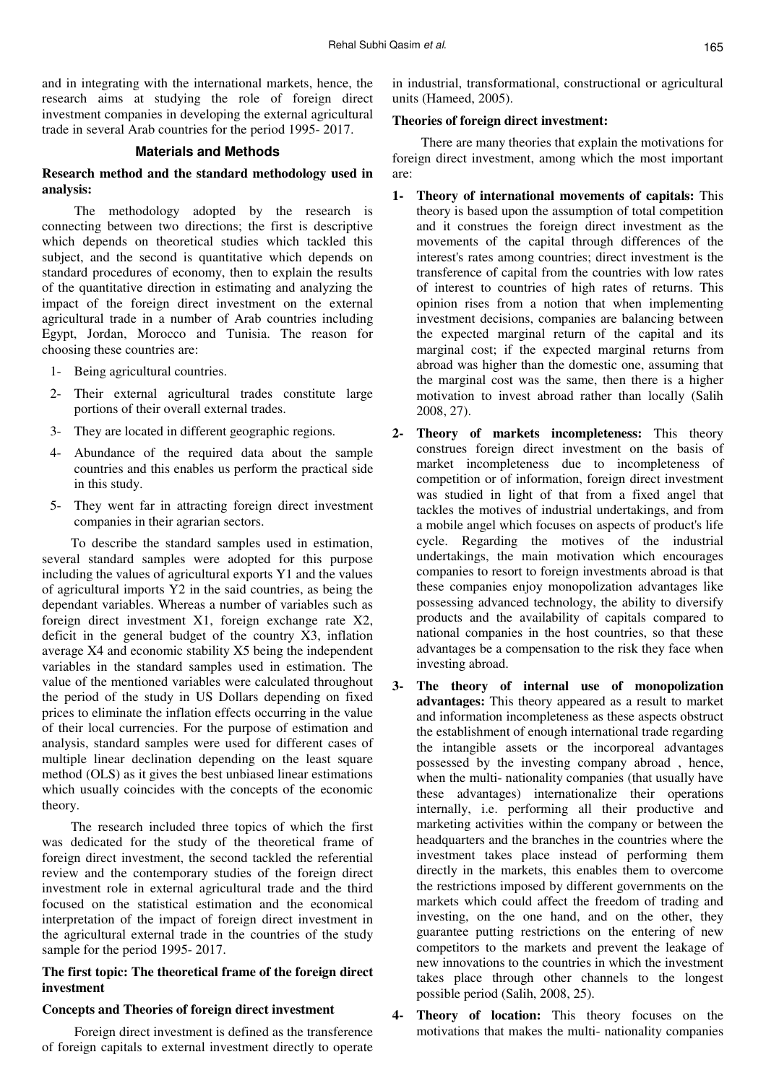and in integrating with the international markets, hence, the research aims at studying the role of foreign direct investment companies in developing the external agricultural trade in several Arab countries for the period 1995- 2017.

### **Materials and Methods**

# **Research method and the standard methodology used in analysis:**

 The methodology adopted by the research is connecting between two directions; the first is descriptive which depends on theoretical studies which tackled this subject, and the second is quantitative which depends on standard procedures of economy, then to explain the results of the quantitative direction in estimating and analyzing the impact of the foreign direct investment on the external agricultural trade in a number of Arab countries including Egypt, Jordan, Morocco and Tunisia. The reason for choosing these countries are:

- 1- Being agricultural countries.
- 2- Their external agricultural trades constitute large portions of their overall external trades.
- 3- They are located in different geographic regions.
- 4- Abundance of the required data about the sample countries and this enables us perform the practical side in this study.
- 5- They went far in attracting foreign direct investment companies in their agrarian sectors.

To describe the standard samples used in estimation, several standard samples were adopted for this purpose including the values of agricultural exports Y1 and the values of agricultural imports Y2 in the said countries, as being the dependant variables. Whereas a number of variables such as foreign direct investment X1, foreign exchange rate X2, deficit in the general budget of the country X3, inflation average X4 and economic stability X5 being the independent variables in the standard samples used in estimation. The value of the mentioned variables were calculated throughout the period of the study in US Dollars depending on fixed prices to eliminate the inflation effects occurring in the value of their local currencies. For the purpose of estimation and analysis, standard samples were used for different cases of multiple linear declination depending on the least square method (OLS) as it gives the best unbiased linear estimations which usually coincides with the concepts of the economic theory.

The research included three topics of which the first was dedicated for the study of the theoretical frame of foreign direct investment, the second tackled the referential review and the contemporary studies of the foreign direct investment role in external agricultural trade and the third focused on the statistical estimation and the economical interpretation of the impact of foreign direct investment in the agricultural external trade in the countries of the study sample for the period 1995- 2017.

# **The first topic: The theoretical frame of the foreign direct investment**

### **Concepts and Theories of foreign direct investment**

 Foreign direct investment is defined as the transference of foreign capitals to external investment directly to operate

in industrial, transformational, constructional or agricultural units (Hameed, 2005).

### **Theories of foreign direct investment:**

There are many theories that explain the motivations for foreign direct investment, among which the most important are:

- **1- Theory of international movements of capitals:** This theory is based upon the assumption of total competition and it construes the foreign direct investment as the movements of the capital through differences of the interest's rates among countries; direct investment is the transference of capital from the countries with low rates of interest to countries of high rates of returns. This opinion rises from a notion that when implementing investment decisions, companies are balancing between the expected marginal return of the capital and its marginal cost; if the expected marginal returns from abroad was higher than the domestic one, assuming that the marginal cost was the same, then there is a higher motivation to invest abroad rather than locally (Salih 2008, 27).
- **2- Theory of markets incompleteness:** This theory construes foreign direct investment on the basis of market incompleteness due to incompleteness of competition or of information, foreign direct investment was studied in light of that from a fixed angel that tackles the motives of industrial undertakings, and from a mobile angel which focuses on aspects of product's life cycle. Regarding the motives of the industrial undertakings, the main motivation which encourages companies to resort to foreign investments abroad is that these companies enjoy monopolization advantages like possessing advanced technology, the ability to diversify products and the availability of capitals compared to national companies in the host countries, so that these advantages be a compensation to the risk they face when investing abroad.
- **3- The theory of internal use of monopolization advantages:** This theory appeared as a result to market and information incompleteness as these aspects obstruct the establishment of enough international trade regarding the intangible assets or the incorporeal advantages possessed by the investing company abroad , hence, when the multi- nationality companies (that usually have these advantages) internationalize their operations internally, i.e. performing all their productive and marketing activities within the company or between the headquarters and the branches in the countries where the investment takes place instead of performing them directly in the markets, this enables them to overcome the restrictions imposed by different governments on the markets which could affect the freedom of trading and investing, on the one hand, and on the other, they guarantee putting restrictions on the entering of new competitors to the markets and prevent the leakage of new innovations to the countries in which the investment takes place through other channels to the longest possible period (Salih, 2008, 25).
- **4- Theory of location:** This theory focuses on the motivations that makes the multi- nationality companies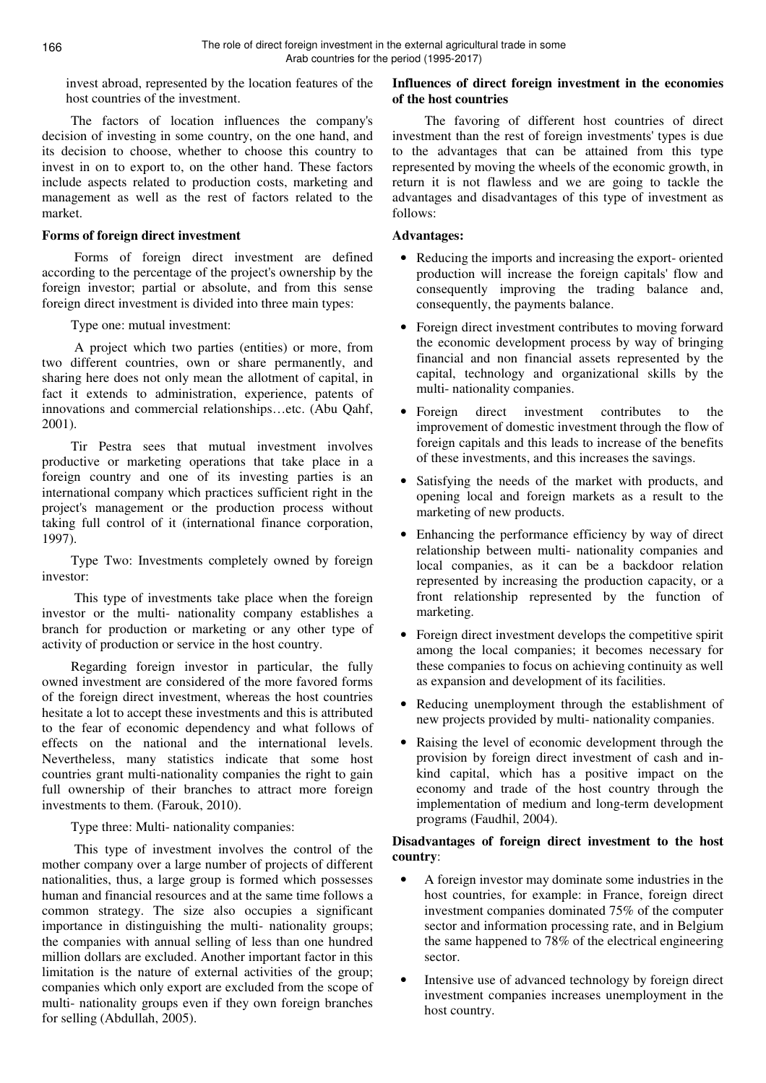invest abroad, represented by the location features of the host countries of the investment.

The factors of location influences the company's decision of investing in some country, on the one hand, and its decision to choose, whether to choose this country to invest in on to export to, on the other hand. These factors include aspects related to production costs, marketing and management as well as the rest of factors related to the market.

# **Forms of foreign direct investment**

 Forms of foreign direct investment are defined according to the percentage of the project's ownership by the foreign investor; partial or absolute, and from this sense foreign direct investment is divided into three main types:

Type one: mutual investment:

 A project which two parties (entities) or more, from two different countries, own or share permanently, and sharing here does not only mean the allotment of capital, in fact it extends to administration, experience, patents of innovations and commercial relationships…etc. (Abu Qahf, 2001).

Tir Pestra sees that mutual investment involves productive or marketing operations that take place in a foreign country and one of its investing parties is an international company which practices sufficient right in the project's management or the production process without taking full control of it (international finance corporation, 1997).

Type Two: Investments completely owned by foreign investor:

 This type of investments take place when the foreign investor or the multi- nationality company establishes a branch for production or marketing or any other type of activity of production or service in the host country.

Regarding foreign investor in particular, the fully owned investment are considered of the more favored forms of the foreign direct investment, whereas the host countries hesitate a lot to accept these investments and this is attributed to the fear of economic dependency and what follows of effects on the national and the international levels. Nevertheless, many statistics indicate that some host countries grant multi-nationality companies the right to gain full ownership of their branches to attract more foreign investments to them. (Farouk, 2010).

Type three: Multi- nationality companies:

 This type of investment involves the control of the mother company over a large number of projects of different nationalities, thus, a large group is formed which possesses human and financial resources and at the same time follows a common strategy. The size also occupies a significant importance in distinguishing the multi- nationality groups; the companies with annual selling of less than one hundred million dollars are excluded. Another important factor in this limitation is the nature of external activities of the group; companies which only export are excluded from the scope of multi- nationality groups even if they own foreign branches for selling (Abdullah, 2005).

# **Influences of direct foreign investment in the economies of the host countries**

 The favoring of different host countries of direct investment than the rest of foreign investments' types is due to the advantages that can be attained from this type represented by moving the wheels of the economic growth, in return it is not flawless and we are going to tackle the advantages and disadvantages of this type of investment as follows:

# **Advantages:**

- Reducing the imports and increasing the export- oriented production will increase the foreign capitals' flow and consequently improving the trading balance and, consequently, the payments balance.
- Foreign direct investment contributes to moving forward the economic development process by way of bringing financial and non financial assets represented by the capital, technology and organizational skills by the multi- nationality companies.
- Foreign direct investment contributes to the improvement of domestic investment through the flow of foreign capitals and this leads to increase of the benefits of these investments, and this increases the savings.
- Satisfying the needs of the market with products, and opening local and foreign markets as a result to the marketing of new products.
- Enhancing the performance efficiency by way of direct relationship between multi- nationality companies and local companies, as it can be a backdoor relation represented by increasing the production capacity, or a front relationship represented by the function of marketing.
- Foreign direct investment develops the competitive spirit among the local companies; it becomes necessary for these companies to focus on achieving continuity as well as expansion and development of its facilities.
- Reducing unemployment through the establishment of new projects provided by multi- nationality companies.
- Raising the level of economic development through the provision by foreign direct investment of cash and inkind capital, which has a positive impact on the economy and trade of the host country through the implementation of medium and long-term development programs (Faudhil, 2004).

# **Disadvantages of foreign direct investment to the host country**:

- A foreign investor may dominate some industries in the host countries, for example: in France, foreign direct investment companies dominated 75% of the computer sector and information processing rate, and in Belgium the same happened to 78% of the electrical engineering sector.
- Intensive use of advanced technology by foreign direct investment companies increases unemployment in the host country.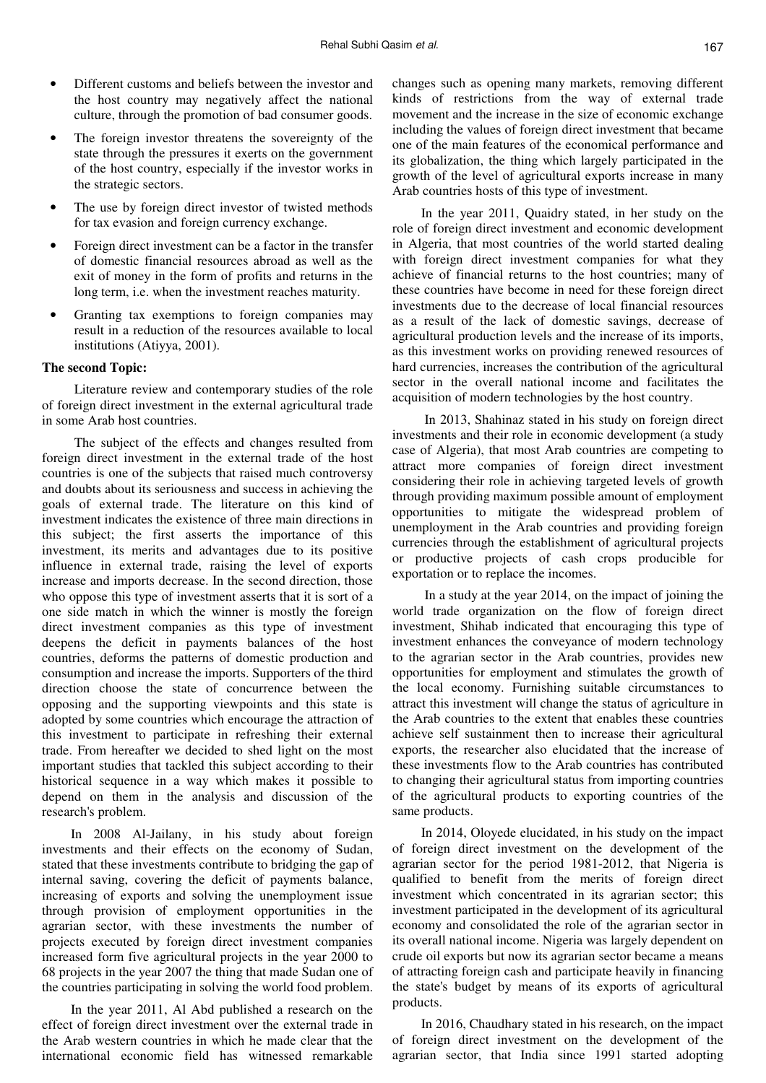- Different customs and beliefs between the investor and the host country may negatively affect the national culture, through the promotion of bad consumer goods.
- The foreign investor threatens the sovereignty of the state through the pressures it exerts on the government of the host country, especially if the investor works in the strategic sectors.
- The use by foreign direct investor of twisted methods for tax evasion and foreign currency exchange.
- Foreign direct investment can be a factor in the transfer of domestic financial resources abroad as well as the exit of money in the form of profits and returns in the long term, i.e. when the investment reaches maturity.
- Granting tax exemptions to foreign companies may result in a reduction of the resources available to local institutions (Atiyya, 2001).

#### **The second Topic:**

 Literature review and contemporary studies of the role of foreign direct investment in the external agricultural trade in some Arab host countries.

 The subject of the effects and changes resulted from foreign direct investment in the external trade of the host countries is one of the subjects that raised much controversy and doubts about its seriousness and success in achieving the goals of external trade. The literature on this kind of investment indicates the existence of three main directions in this subject; the first asserts the importance of this investment, its merits and advantages due to its positive influence in external trade, raising the level of exports increase and imports decrease. In the second direction, those who oppose this type of investment asserts that it is sort of a one side match in which the winner is mostly the foreign direct investment companies as this type of investment deepens the deficit in payments balances of the host countries, deforms the patterns of domestic production and consumption and increase the imports. Supporters of the third direction choose the state of concurrence between the opposing and the supporting viewpoints and this state is adopted by some countries which encourage the attraction of this investment to participate in refreshing their external trade. From hereafter we decided to shed light on the most important studies that tackled this subject according to their historical sequence in a way which makes it possible to depend on them in the analysis and discussion of the research's problem.

In 2008 Al-Jailany, in his study about foreign investments and their effects on the economy of Sudan, stated that these investments contribute to bridging the gap of internal saving, covering the deficit of payments balance, increasing of exports and solving the unemployment issue through provision of employment opportunities in the agrarian sector, with these investments the number of projects executed by foreign direct investment companies increased form five agricultural projects in the year 2000 to 68 projects in the year 2007 the thing that made Sudan one of the countries participating in solving the world food problem.

In the year 2011, Al Abd published a research on the effect of foreign direct investment over the external trade in the Arab western countries in which he made clear that the international economic field has witnessed remarkable

changes such as opening many markets, removing different kinds of restrictions from the way of external trade movement and the increase in the size of economic exchange including the values of foreign direct investment that became one of the main features of the economical performance and its globalization, the thing which largely participated in the growth of the level of agricultural exports increase in many Arab countries hosts of this type of investment.

In the year 2011, Quaidry stated, in her study on the role of foreign direct investment and economic development in Algeria, that most countries of the world started dealing with foreign direct investment companies for what they achieve of financial returns to the host countries; many of these countries have become in need for these foreign direct investments due to the decrease of local financial resources as a result of the lack of domestic savings, decrease of agricultural production levels and the increase of its imports, as this investment works on providing renewed resources of hard currencies, increases the contribution of the agricultural sector in the overall national income and facilitates the acquisition of modern technologies by the host country.

 In 2013, Shahinaz stated in his study on foreign direct investments and their role in economic development (a study case of Algeria), that most Arab countries are competing to attract more companies of foreign direct investment considering their role in achieving targeted levels of growth through providing maximum possible amount of employment opportunities to mitigate the widespread problem of unemployment in the Arab countries and providing foreign currencies through the establishment of agricultural projects or productive projects of cash crops producible for exportation or to replace the incomes.

 In a study at the year 2014, on the impact of joining the world trade organization on the flow of foreign direct investment, Shihab indicated that encouraging this type of investment enhances the conveyance of modern technology to the agrarian sector in the Arab countries, provides new opportunities for employment and stimulates the growth of the local economy. Furnishing suitable circumstances to attract this investment will change the status of agriculture in the Arab countries to the extent that enables these countries achieve self sustainment then to increase their agricultural exports, the researcher also elucidated that the increase of these investments flow to the Arab countries has contributed to changing their agricultural status from importing countries of the agricultural products to exporting countries of the same products.

In 2014, Oloyede elucidated, in his study on the impact of foreign direct investment on the development of the agrarian sector for the period 1981-2012, that Nigeria is qualified to benefit from the merits of foreign direct investment which concentrated in its agrarian sector; this investment participated in the development of its agricultural economy and consolidated the role of the agrarian sector in its overall national income. Nigeria was largely dependent on crude oil exports but now its agrarian sector became a means of attracting foreign cash and participate heavily in financing the state's budget by means of its exports of agricultural products.

In 2016, Chaudhary stated in his research, on the impact of foreign direct investment on the development of the agrarian sector, that India since 1991 started adopting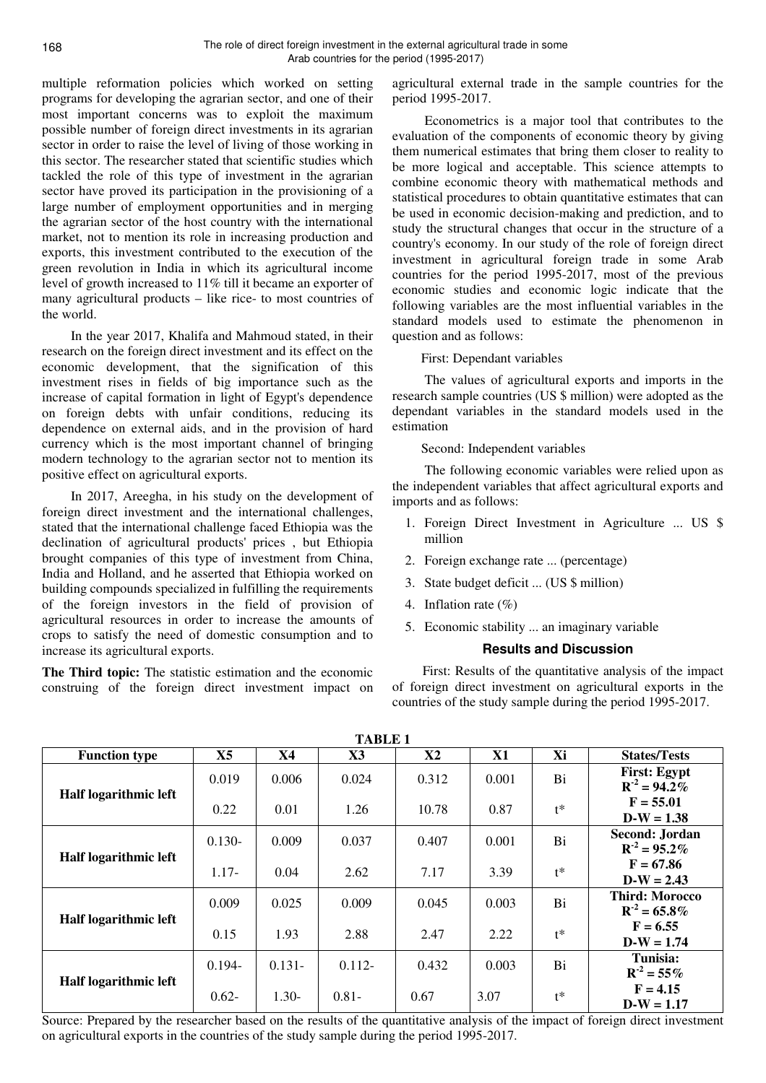multiple reformation policies which worked on setting programs for developing the agrarian sector, and one of their most important concerns was to exploit the maximum possible number of foreign direct investments in its agrarian sector in order to raise the level of living of those working in this sector. The researcher stated that scientific studies which tackled the role of this type of investment in the agrarian sector have proved its participation in the provisioning of a large number of employment opportunities and in merging the agrarian sector of the host country with the international market, not to mention its role in increasing production and exports, this investment contributed to the execution of the green revolution in India in which its agricultural income level of growth increased to 11% till it became an exporter of many agricultural products – like rice- to most countries of the world.

In the year 2017, Khalifa and Mahmoud stated, in their research on the foreign direct investment and its effect on the economic development, that the signification of this investment rises in fields of big importance such as the increase of capital formation in light of Egypt's dependence on foreign debts with unfair conditions, reducing its dependence on external aids, and in the provision of hard currency which is the most important channel of bringing modern technology to the agrarian sector not to mention its positive effect on agricultural exports.

In 2017, Areegha, in his study on the development of foreign direct investment and the international challenges, stated that the international challenge faced Ethiopia was the declination of agricultural products' prices , but Ethiopia brought companies of this type of investment from China, India and Holland, and he asserted that Ethiopia worked on building compounds specialized in fulfilling the requirements of the foreign investors in the field of provision of agricultural resources in order to increase the amounts of crops to satisfy the need of domestic consumption and to increase its agricultural exports.

**The Third topic:** The statistic estimation and the economic construing of the foreign direct investment impact on

agricultural external trade in the sample countries for the period 1995-2017.

 Econometrics is a major tool that contributes to the evaluation of the components of economic theory by giving them numerical estimates that bring them closer to reality to be more logical and acceptable. This science attempts to combine economic theory with mathematical methods and statistical procedures to obtain quantitative estimates that can be used in economic decision-making and prediction, and to study the structural changes that occur in the structure of a country's economy. In our study of the role of foreign direct investment in agricultural foreign trade in some Arab countries for the period 1995-2017, most of the previous economic studies and economic logic indicate that the following variables are the most influential variables in the standard models used to estimate the phenomenon in question and as follows:

#### First: Dependant variables

 The values of agricultural exports and imports in the research sample countries (US \$ million) were adopted as the dependant variables in the standard models used in the estimation

### Second: Independent variables

 The following economic variables were relied upon as the independent variables that affect agricultural exports and imports and as follows:

- 1. Foreign Direct Investment in Agriculture ... US \$ million
- 2. Foreign exchange rate ... (percentage)
- 3. State budget deficit ... (US \$ million)
- 4. Inflation rate (%)
- 5. Economic stability ... an imaginary variable

### **Results and Discussion**

 First: Results of the quantitative analysis of the impact of foreign direct investment on agricultural exports in the countries of the study sample during the period 1995-2017.

| <b>TABLE 1</b>        |           |           |           |               |       |       |                                            |  |  |  |
|-----------------------|-----------|-----------|-----------|---------------|-------|-------|--------------------------------------------|--|--|--|
| <b>Function type</b>  | X5        | <b>X4</b> | X3        | $\mathbf{X2}$ | X1    | Xi    | <b>States/Tests</b>                        |  |  |  |
| Half logarithmic left | 0.019     | 0.006     | 0.024     | 0.312         | 0.001 | Bi    | <b>First: Egypt</b><br>$R^{-2} = 94.2\%$   |  |  |  |
|                       | 0.22      | 0.01      | 1.26      | 10.78         | 0.87  | $t^*$ | $F = 55.01$<br>$D-W = 1.38$                |  |  |  |
| Half logarithmic left | $0.130 -$ | 0.009     | 0.037     | 0.407         | 0.001 | Bi    | Second: Jordan<br>$R^{-2} = 95.2\%$        |  |  |  |
|                       | $1.17-$   | 0.04      | 2.62      | 7.17          | 3.39  | $t^*$ | $F = 67.86$<br>$D-W = 2.43$                |  |  |  |
| Half logarithmic left | 0.009     | 0.025     | 0.009     | 0.045         | 0.003 | Bi    | <b>Third: Morocco</b><br>$R^{-2} = 65.8\%$ |  |  |  |
|                       | 0.15      | 1.93      | 2.88      | 2.47          | 2.22  | $t^*$ | $F = 6.55$<br>$D-W = 1.74$                 |  |  |  |
| Half logarithmic left | $0.194 -$ | $0.131 -$ | $0.112 -$ | 0.432         | 0.003 | Bi    | Tunisia:<br>$R^{-2} = 55\%$                |  |  |  |
|                       | $0.62 -$  | $1.30-$   | $0.81 -$  | 0.67          | 3.07  | $t^*$ | $F = 4.15$<br>$D-W = 1.17$                 |  |  |  |

Source: Prepared by the researcher based on the results of the quantitative analysis of the impact of foreign direct investment on agricultural exports in the countries of the study sample during the period 1995-2017.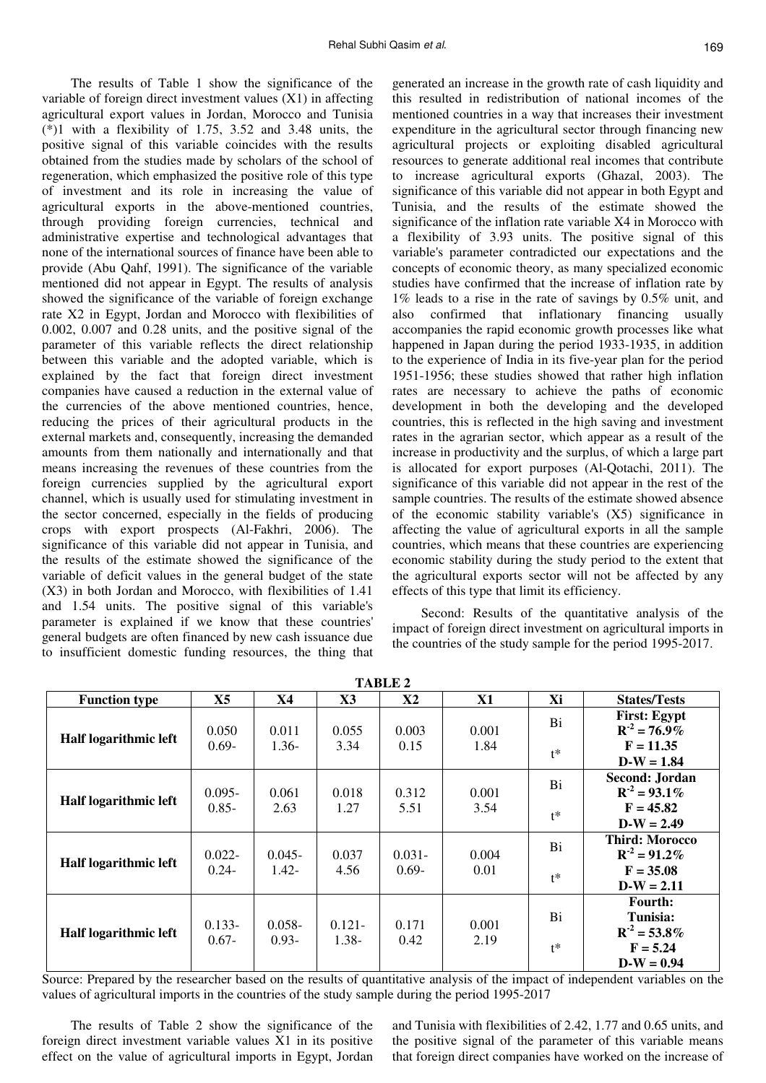169

The results of Table 1 show the significance of the variable of foreign direct investment values (X1) in affecting agricultural export values in Jordan, Morocco and Tunisia (\*)1 with a flexibility of 1.75, 3.52 and 3.48 units, the positive signal of this variable coincides with the results obtained from the studies made by scholars of the school of regeneration, which emphasized the positive role of this type of investment and its role in increasing the value of agricultural exports in the above-mentioned countries, through providing foreign currencies, technical and administrative expertise and technological advantages that none of the international sources of finance have been able to provide (Abu Qahf, 1991). The significance of the variable mentioned did not appear in Egypt. The results of analysis showed the significance of the variable of foreign exchange rate X2 in Egypt, Jordan and Morocco with flexibilities of 0.002, 0.007 and 0.28 units, and the positive signal of the parameter of this variable reflects the direct relationship between this variable and the adopted variable, which is explained by the fact that foreign direct investment companies have caused a reduction in the external value of the currencies of the above mentioned countries, hence, reducing the prices of their agricultural products in the external markets and, consequently, increasing the demanded amounts from them nationally and internationally and that means increasing the revenues of these countries from the foreign currencies supplied by the agricultural export channel, which is usually used for stimulating investment in the sector concerned, especially in the fields of producing crops with export prospects (Al-Fakhri, 2006). The significance of this variable did not appear in Tunisia, and the results of the estimate showed the significance of the variable of deficit values in the general budget of the state (X3) in both Jordan and Morocco, with flexibilities of 1.41 and 1.54 units. The positive signal of this variable's parameter is explained if we know that these countries' general budgets are often financed by new cash issuance due to insufficient domestic funding resources, the thing that

generated an increase in the growth rate of cash liquidity and this resulted in redistribution of national incomes of the mentioned countries in a way that increases their investment expenditure in the agricultural sector through financing new agricultural projects or exploiting disabled agricultural resources to generate additional real incomes that contribute to increase agricultural exports (Ghazal, 2003). The significance of this variable did not appear in both Egypt and Tunisia, and the results of the estimate showed the significance of the inflation rate variable X4 in Morocco with a flexibility of 3.93 units. The positive signal of this variable's parameter contradicted our expectations and the concepts of economic theory, as many specialized economic studies have confirmed that the increase of inflation rate by 1% leads to a rise in the rate of savings by 0.5% unit, and also confirmed that inflationary financing usually accompanies the rapid economic growth processes like what happened in Japan during the period 1933-1935, in addition to the experience of India in its five-year plan for the period 1951-1956; these studies showed that rather high inflation rates are necessary to achieve the paths of economic development in both the developing and the developed countries, this is reflected in the high saving and investment rates in the agrarian sector, which appear as a result of the increase in productivity and the surplus, of which a large part is allocated for export purposes (Al-Qotachi, 2011). The significance of this variable did not appear in the rest of the sample countries. The results of the estimate showed absence of the economic stability variable's (X5) significance in affecting the value of agricultural exports in all the sample countries, which means that these countries are experiencing economic stability during the study period to the extent that the agricultural exports sector will not be affected by any effects of this type that limit its efficiency.

Second: Results of the quantitative analysis of the impact of foreign direct investment on agricultural imports in the countries of the study sample for the period 1995-2017.

| тария а               |                       |                       |                       |                       |               |       |                                              |  |  |  |  |
|-----------------------|-----------------------|-----------------------|-----------------------|-----------------------|---------------|-------|----------------------------------------------|--|--|--|--|
| <b>Function type</b>  | X <sub>5</sub>        | <b>X4</b>             | $\mathbf{X}3$         | $\mathbf{X2}$         | <b>X1</b>     | Xi    | <b>States/Tests</b>                          |  |  |  |  |
| Half logarithmic left | 0.050                 | 0.011                 | 0.055                 | 0.003                 | 0.001         | Bi    | <b>First: Egypt</b><br>$R^2 = 76.9\%$        |  |  |  |  |
|                       | $0.69 -$              | $1.36-$               | 3.34                  | 0.15                  | 1.84          | $t^*$ | $F = 11.35$<br>$D-W = 1.84$                  |  |  |  |  |
| Half logarithmic left | $0.095 -$             | 0.061                 | 0.018                 | 0.312                 | 0.001         | Bi    | Second: Jordan<br>$R^{-2} = 93.1\%$          |  |  |  |  |
|                       | $0.85 -$              | 2.63                  | 1.27                  | 5.51                  | 3.54          | $t^*$ | $F = 45.82$<br>$D-W = 2.49$                  |  |  |  |  |
| Half logarithmic left | $0.022 -$<br>$0.24 -$ | $0.045 -$<br>$1.42 -$ | 0.037<br>4.56         | $0.031 -$<br>$0.69 -$ | 0.004<br>0.01 | Bi    | <b>Third: Morocco</b><br>$R^{-2} = 91.2\%$   |  |  |  |  |
|                       |                       |                       |                       |                       |               | $t^*$ | $F = 35.08$<br>$D-W = 2.11$                  |  |  |  |  |
| Half logarithmic left | $0.133 -$<br>$0.67 -$ | $0.058 -$<br>$0.93 -$ | $0.121 -$<br>$1.38 -$ | 0.171<br>0.42         | 0.001<br>2.19 | Bi    | <b>Fourth:</b><br>Tunisia:<br>$R^2 = 53.8\%$ |  |  |  |  |
|                       |                       |                       |                       |                       |               | $t^*$ | $F = 5.24$<br>$D-W = 0.94$                   |  |  |  |  |

**TABLE 2** 

Source: Prepared by the researcher based on the results of quantitative analysis of the impact of independent variables on the values of agricultural imports in the countries of the study sample during the period 1995-2017

The results of Table 2 show the significance of the foreign direct investment variable values X1 in its positive effect on the value of agricultural imports in Egypt, Jordan and Tunisia with flexibilities of 2.42, 1.77 and 0.65 units, and the positive signal of the parameter of this variable means that foreign direct companies have worked on the increase of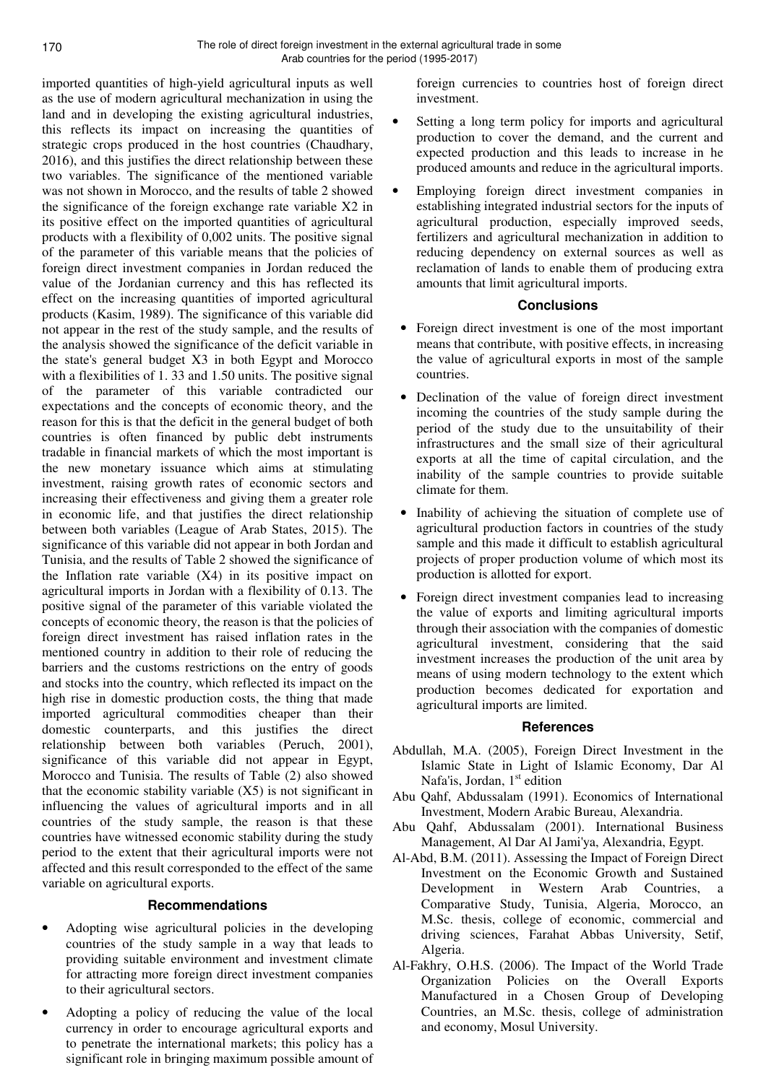imported quantities of high-yield agricultural inputs as well as the use of modern agricultural mechanization in using the land and in developing the existing agricultural industries, this reflects its impact on increasing the quantities of strategic crops produced in the host countries (Chaudhary, 2016), and this justifies the direct relationship between these two variables. The significance of the mentioned variable was not shown in Morocco, and the results of table 2 showed the significance of the foreign exchange rate variable X2 in its positive effect on the imported quantities of agricultural products with a flexibility of 0,002 units. The positive signal of the parameter of this variable means that the policies of foreign direct investment companies in Jordan reduced the value of the Jordanian currency and this has reflected its effect on the increasing quantities of imported agricultural products (Kasim, 1989). The significance of this variable did not appear in the rest of the study sample, and the results of the analysis showed the significance of the deficit variable in the state's general budget X3 in both Egypt and Morocco with a flexibilities of 1.33 and 1.50 units. The positive signal of the parameter of this variable contradicted our expectations and the concepts of economic theory, and the reason for this is that the deficit in the general budget of both countries is often financed by public debt instruments tradable in financial markets of which the most important is the new monetary issuance which aims at stimulating investment, raising growth rates of economic sectors and increasing their effectiveness and giving them a greater role in economic life, and that justifies the direct relationship between both variables (League of Arab States, 2015). The significance of this variable did not appear in both Jordan and Tunisia, and the results of Table 2 showed the significance of the Inflation rate variable  $(X4)$  in its positive impact on agricultural imports in Jordan with a flexibility of 0.13. The positive signal of the parameter of this variable violated the concepts of economic theory, the reason is that the policies of foreign direct investment has raised inflation rates in the mentioned country in addition to their role of reducing the barriers and the customs restrictions on the entry of goods and stocks into the country, which reflected its impact on the high rise in domestic production costs, the thing that made imported agricultural commodities cheaper than their domestic counterparts, and this justifies the direct relationship between both variables (Peruch, 2001), significance of this variable did not appear in Egypt, Morocco and Tunisia. The results of Table (2) also showed that the economic stability variable  $(X5)$  is not significant in influencing the values of agricultural imports and in all countries of the study sample, the reason is that these countries have witnessed economic stability during the study period to the extent that their agricultural imports were not affected and this result corresponded to the effect of the same variable on agricultural exports.

### **Recommendations**

- Adopting wise agricultural policies in the developing countries of the study sample in a way that leads to providing suitable environment and investment climate for attracting more foreign direct investment companies to their agricultural sectors.
- Adopting a policy of reducing the value of the local currency in order to encourage agricultural exports and to penetrate the international markets; this policy has a significant role in bringing maximum possible amount of

foreign currencies to countries host of foreign direct investment.

- Setting a long term policy for imports and agricultural production to cover the demand, and the current and expected production and this leads to increase in he produced amounts and reduce in the agricultural imports.
- Employing foreign direct investment companies in establishing integrated industrial sectors for the inputs of agricultural production, especially improved seeds, fertilizers and agricultural mechanization in addition to reducing dependency on external sources as well as reclamation of lands to enable them of producing extra amounts that limit agricultural imports.

### **Conclusions**

- Foreign direct investment is one of the most important means that contribute, with positive effects, in increasing the value of agricultural exports in most of the sample countries.
- Declination of the value of foreign direct investment incoming the countries of the study sample during the period of the study due to the unsuitability of their infrastructures and the small size of their agricultural exports at all the time of capital circulation, and the inability of the sample countries to provide suitable climate for them.
- Inability of achieving the situation of complete use of agricultural production factors in countries of the study sample and this made it difficult to establish agricultural projects of proper production volume of which most its production is allotted for export.
- Foreign direct investment companies lead to increasing the value of exports and limiting agricultural imports through their association with the companies of domestic agricultural investment, considering that the said investment increases the production of the unit area by means of using modern technology to the extent which production becomes dedicated for exportation and agricultural imports are limited.

#### **References**

- Abdullah, M.A. (2005), Foreign Direct Investment in the Islamic State in Light of Islamic Economy, Dar Al Nafa'is, Jordan,  $1<sup>st</sup>$  edition
- Abu Qahf, Abdussalam (1991). Economics of International Investment, Modern Arabic Bureau, Alexandria.
- Abu Qahf, Abdussalam (2001). International Business Management, Al Dar Al Jami'ya, Alexandria, Egypt.
- Al-Abd, B.M. (2011). Assessing the Impact of Foreign Direct Investment on the Economic Growth and Sustained Development in Western Arab Countries, a Comparative Study, Tunisia, Algeria, Morocco, an M.Sc. thesis, college of economic, commercial and driving sciences, Farahat Abbas University, Setif, Algeria.
- Al-Fakhry, O.H.S. (2006). The Impact of the World Trade Organization Policies on the Overall Exports Manufactured in a Chosen Group of Developing Countries, an M.Sc. thesis, college of administration and economy, Mosul University.